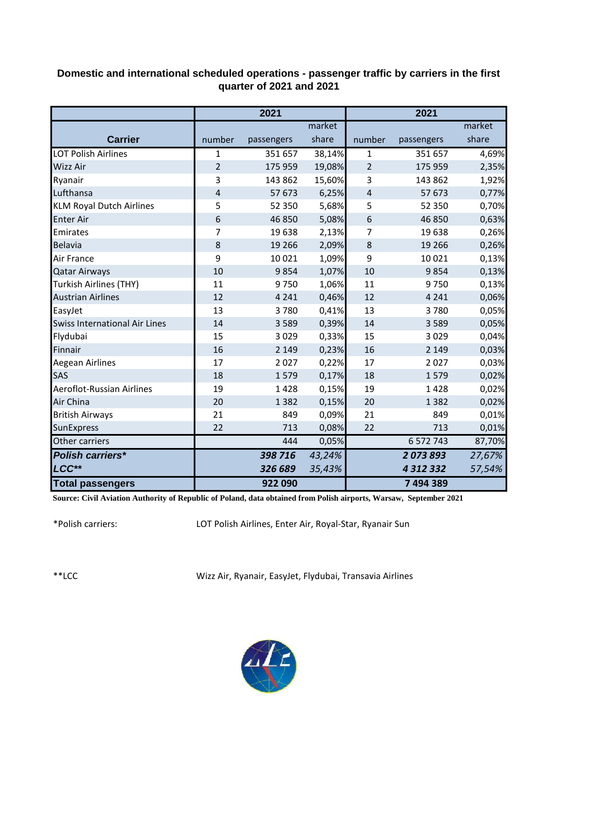## **Domestic and international scheduled operations - passenger traffic by carriers in the first quarter of 2021 and 2021**

|                                      | 2021           |            |        | 2021           |               |        |
|--------------------------------------|----------------|------------|--------|----------------|---------------|--------|
|                                      |                |            | market |                |               | market |
| <b>Carrier</b>                       | number         | passengers | share  | number         | passengers    | share  |
| <b>LOT Polish Airlines</b>           | 1              | 351 657    | 38,14% | 1              | 351 657       | 4,69%  |
| <b>Wizz Air</b>                      | $\overline{2}$ | 175 959    | 19,08% | $\overline{2}$ | 175 959       | 2,35%  |
| Ryanair                              | 3              | 143 862    | 15,60% | 3              | 143 862       | 1,92%  |
| Lufthansa                            | 4              | 57 673     | 6,25%  | 4              | 57 673        | 0,77%  |
| <b>KLM Royal Dutch Airlines</b>      | 5              | 52 350     | 5,68%  | 5              | 52 350        | 0,70%  |
| <b>Enter Air</b>                     | 6              | 46 850     | 5,08%  | 6              | 46 850        | 0,63%  |
| Emirates                             | 7              | 19638      | 2,13%  | 7              | 19 638        | 0,26%  |
| Belavia                              | 8              | 19 26 6    | 2,09%  | 8              | 19 26 6       | 0,26%  |
| Air France                           | 9              | 10 0 21    | 1,09%  | 9              | 10 0 21       | 0,13%  |
| <b>Qatar Airways</b>                 | 10             | 9854       | 1,07%  | 10             | 9854          | 0,13%  |
| Turkish Airlines (THY)               | 11             | 9750       | 1,06%  | 11             | 9750          | 0,13%  |
| <b>Austrian Airlines</b>             | 12             | 4 2 4 1    | 0,46%  | 12             | 4 2 4 1       | 0,06%  |
| EasyJet                              | 13             | 3780       | 0,41%  | 13             | 3780          | 0,05%  |
| <b>Swiss International Air Lines</b> | 14             | 3 5 8 9    | 0,39%  | 14             | 3589          | 0,05%  |
| Flydubai                             | 15             | 3029       | 0,33%  | 15             | 3029          | 0,04%  |
| Finnair                              | 16             | 2 1 4 9    | 0,23%  | 16             | 2 1 4 9       | 0,03%  |
| Aegean Airlines                      | 17             | 2027       | 0,22%  | 17             | 2027          | 0,03%  |
| SAS                                  | 18             | 1579       | 0,17%  | 18             | 1579          | 0,02%  |
| Aeroflot-Russian Airlines            | 19             | 1428       | 0,15%  | 19             | 1428          | 0,02%  |
| Air China                            | 20             | 1 3 8 2    | 0,15%  | 20             | 1 3 8 2       | 0,02%  |
| <b>British Airways</b>               | 21             | 849        | 0,09%  | 21             | 849           | 0,01%  |
| SunExpress                           | 22             | 713        | 0,08%  | 22             | 713           | 0,01%  |
| Other carriers                       |                | 444        | 0,05%  |                | 6 572 743     | 87,70% |
| <b>Polish carriers*</b>              |                | 398 716    | 43,24% |                | 2073893       | 27,67% |
| LCC**                                |                | 326 689    | 35,43% |                | 4 3 1 2 3 3 2 | 57,54% |
| <b>Total passengers</b>              |                | 922 090    |        |                | 7494389       |        |

**Source: Civil Aviation Authority of Republic of Poland, data obtained from Polish airports, Warsaw, September 2021**

\*Polish carriers:

LOT Polish Airlines, Enter Air, Royal-Star, Ryanair Sun

\*\*LCC

Wizz Air, Ryanair, EasyJet, Flydubai, Transavia Airlines